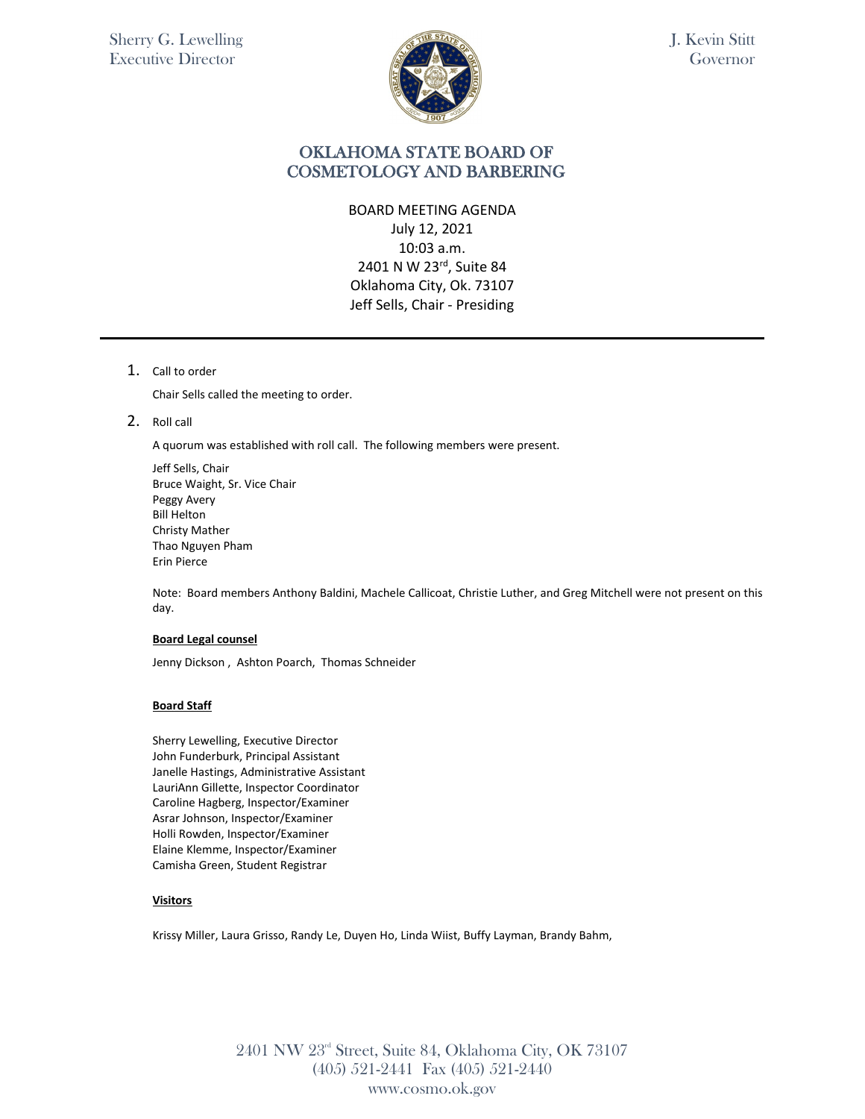

J. Kevin Stitt Governor

## OKLAHOMA STATE BOARD OF COSMETOLOGY AND BARBERING

### BOARD MEETING AGENDA

July 12, 2021 10:03 a.m. 2401 N W 23rd, Suite 84 Oklahoma City, Ok. 73107 Jeff Sells, Chair - Presiding

1. Call to order

Chair Sells called the meeting to order.

2. Roll call

A quorum was established with roll call. The following members were present.

Jeff Sells, Chair Bruce Waight, Sr. Vice Chair Peggy Avery Bill Helton Christy Mather Thao Nguyen Pham Erin Pierce

Note: Board members Anthony Baldini, Machele Callicoat, Christie Luther, and Greg Mitchell were not present on this day.

### **Board Legal counsel**

Jenny Dickson , Ashton Poarch, Thomas Schneider

### **Board Staff**

Sherry Lewelling, Executive Director John Funderburk, Principal Assistant Janelle Hastings, Administrative Assistant LauriAnn Gillette, Inspector Coordinator Caroline Hagberg, Inspector/Examiner Asrar Johnson, Inspector/Examiner Holli Rowden, Inspector/Examiner Elaine Klemme, Inspector/Examiner Camisha Green, Student Registrar

### **Visitors**

Krissy Miller, Laura Grisso, Randy Le, Duyen Ho, Linda Wiist, Buffy Layman, Brandy Bahm,

2401 NW 23rd Street, Suite 84, Oklahoma City, OK 73107 (405) 521-2441 Fax (405) 521-2440 www.cosmo.ok.gov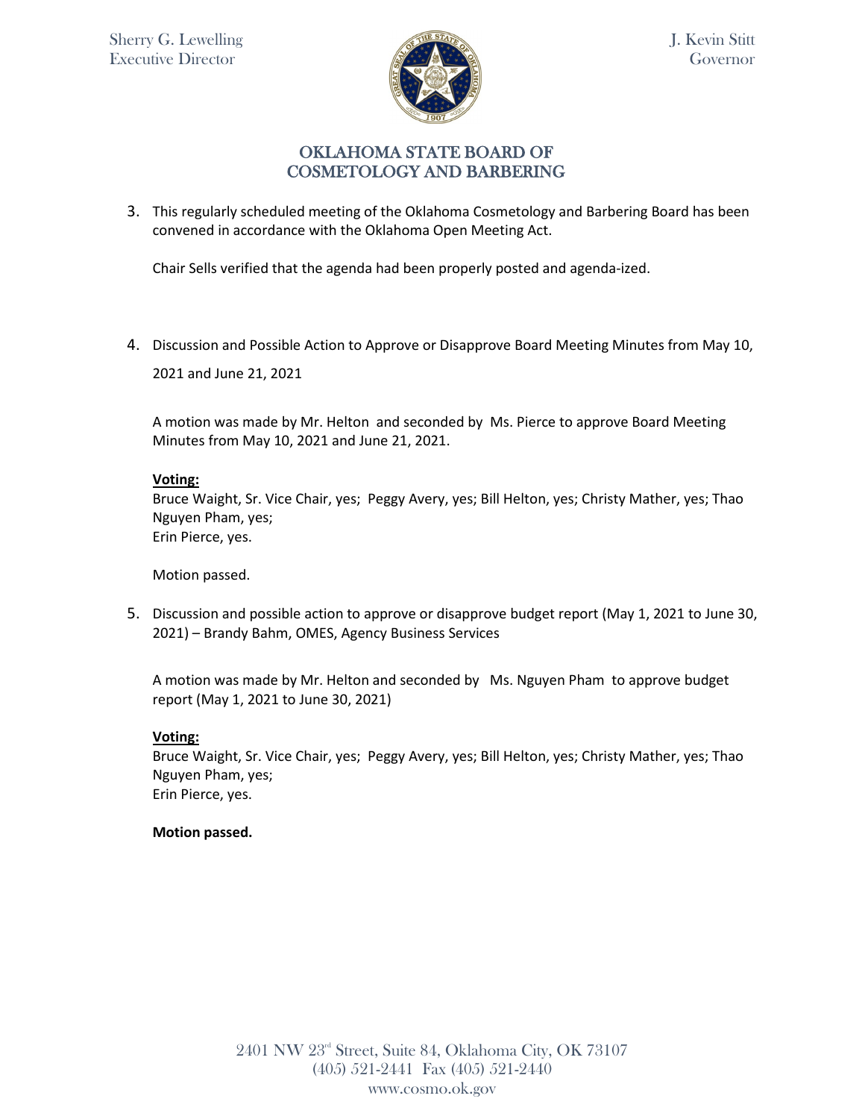

3. This regularly scheduled meeting of the Oklahoma Cosmetology and Barbering Board has been convened in accordance with the Oklahoma Open Meeting Act.

Chair Sells verified that the agenda had been properly posted and agenda-ized.

4. Discussion and Possible Action to Approve or Disapprove Board Meeting Minutes from May 10, 2021 and June 21, 2021

A motion was made by Mr. Helton and seconded by Ms. Pierce to approve Board Meeting Minutes from May 10, 2021 and June 21, 2021.

### **Voting:**

Bruce Waight, Sr. Vice Chair, yes; Peggy Avery, yes; Bill Helton, yes; Christy Mather, yes; Thao Nguyen Pham, yes; Erin Pierce, yes.

Motion passed.

5. Discussion and possible action to approve or disapprove budget report (May 1, 2021 to June 30, 2021) – Brandy Bahm, OMES, Agency Business Services

A motion was made by Mr. Helton and seconded by Ms. Nguyen Pham to approve budget report (May 1, 2021 to June 30, 2021)

### **Voting:**

Bruce Waight, Sr. Vice Chair, yes; Peggy Avery, yes; Bill Helton, yes; Christy Mather, yes; Thao Nguyen Pham, yes; Erin Pierce, yes.

### **Motion passed.**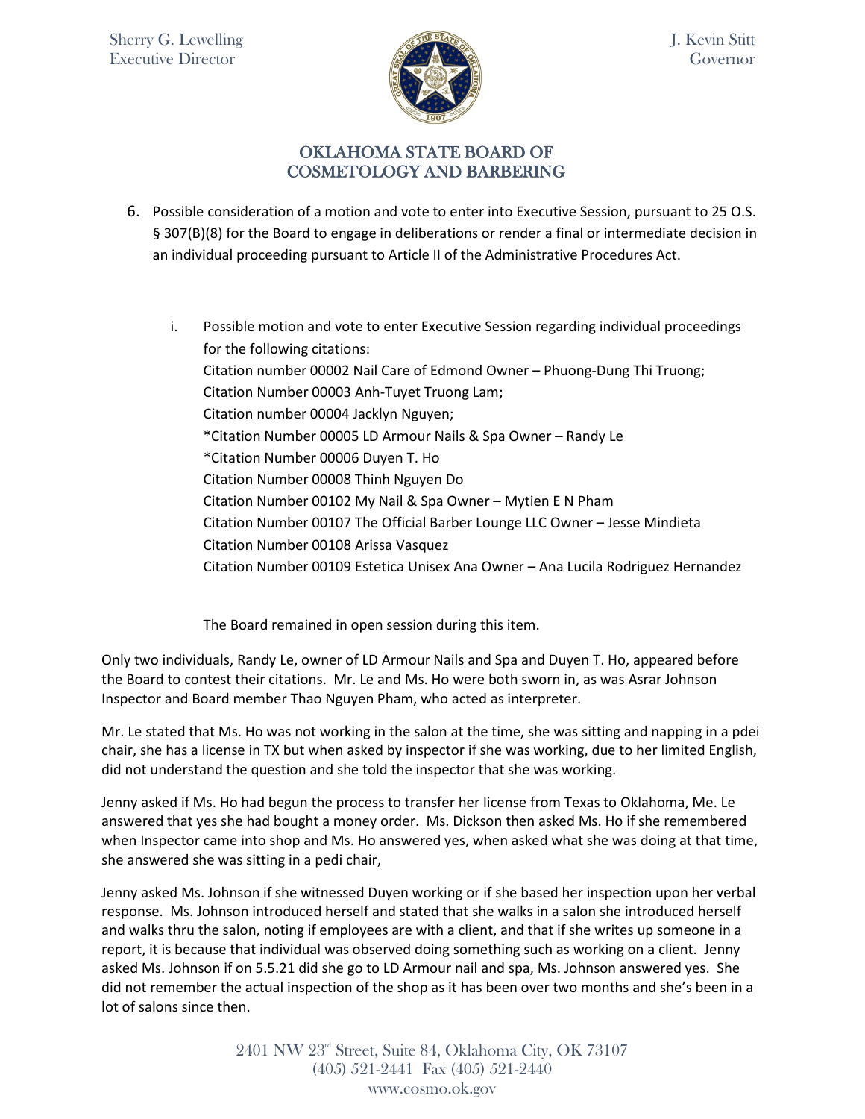

6. Possible consideration of a motion and vote to enter into Executive Session, pursuant to 25 O.S. § 307(B)(8) for the Board to engage in deliberations or render a final or intermediate decision in an individual proceeding pursuant to Article II of the Administrative Procedures Act.

i. Possible motion and vote to enter Executive Session regarding individual proceedings for the following citations: Citation number 00002 Nail Care of Edmond Owner – Phuong-Dung Thi Truong; Citation Number 00003 Anh-Tuyet Truong Lam; Citation number 00004 Jacklyn Nguyen; \*Citation Number 00005 LD Armour Nails & Spa Owner – Randy Le \*Citation Number 00006 Duyen T. Ho Citation Number 00008 Thinh Nguyen Do Citation Number 00102 My Nail & Spa Owner – Mytien E N Pham Citation Number 00107 The Official Barber Lounge LLC Owner – Jesse Mindieta Citation Number 00108 Arissa Vasquez Citation Number 00109 Estetica Unisex Ana Owner – Ana Lucila Rodriguez Hernandez

The Board remained in open session during this item.

Only two individuals, Randy Le, owner of LD Armour Nails and Spa and Duyen T. Ho, appeared before the Board to contest their citations. Mr. Le and Ms. Ho were both sworn in, as was Asrar Johnson Inspector and Board member Thao Nguyen Pham, who acted as interpreter.

Mr. Le stated that Ms. Ho was not working in the salon at the time, she was sitting and napping in a pdei chair, she has a license in TX but when asked by inspector if she was working, due to her limited English, did not understand the question and she told the inspector that she was working.

Jenny asked if Ms. Ho had begun the process to transfer her license from Texas to Oklahoma, Me. Le answered that yes she had bought a money order. Ms. Dickson then asked Ms. Ho if she remembered when Inspector came into shop and Ms. Ho answered yes, when asked what she was doing at that time, she answered she was sitting in a pedi chair,

Jenny asked Ms. Johnson if she witnessed Duyen working or if she based her inspection upon her verbal response. Ms. Johnson introduced herself and stated that she walks in a salon she introduced herself and walks thru the salon, noting if employees are with a client, and that if she writes up someone in a report, it is because that individual was observed doing something such as working on a client. Jenny asked Ms. Johnson if on 5.5.21 did she go to LD Armour nail and spa, Ms. Johnson answered yes. She did not remember the actual inspection of the shop as it has been over two months and she's been in a lot of salons since then.

> 2401 NW 23rd Street, Suite 84, Oklahoma City, OK 73107 (405) 521-2441 Fax (405) 521-2440 www.cosmo.ok.gov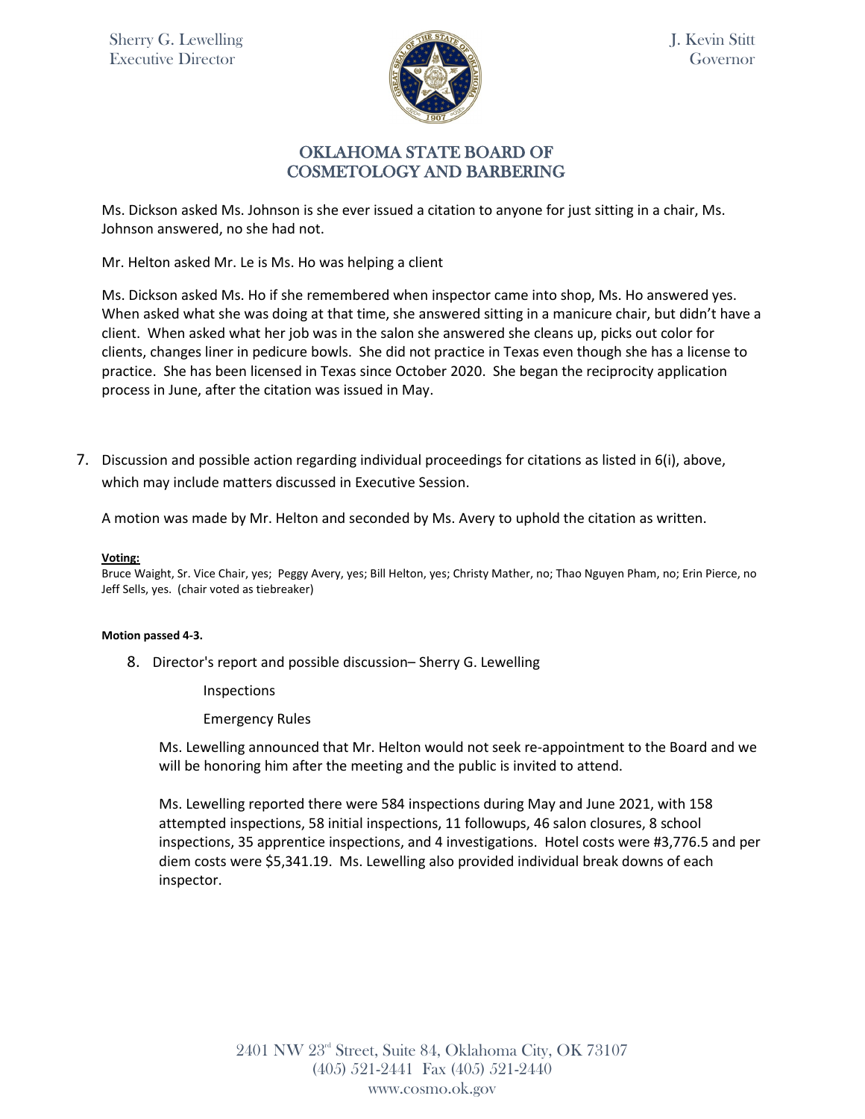Sherry G. Lewelling Executive Director



J. Kevin Stitt Governor

## OKLAHOMA STATE BOARD OF COSMETOLOGY AND BARBERING

Ms. Dickson asked Ms. Johnson is she ever issued a citation to anyone for just sitting in a chair, Ms. Johnson answered, no she had not.

Mr. Helton asked Mr. Le is Ms. Ho was helping a client

Ms. Dickson asked Ms. Ho if she remembered when inspector came into shop, Ms. Ho answered yes. When asked what she was doing at that time, she answered sitting in a manicure chair, but didn't have a client. When asked what her job was in the salon she answered she cleans up, picks out color for clients, changes liner in pedicure bowls. She did not practice in Texas even though she has a license to practice. She has been licensed in Texas since October 2020. She began the reciprocity application process in June, after the citation was issued in May.

7. Discussion and possible action regarding individual proceedings for citations as listed in 6(i), above, which may include matters discussed in Executive Session.

A motion was made by Mr. Helton and seconded by Ms. Avery to uphold the citation as written.

**Voting:** 

Bruce Waight, Sr. Vice Chair, yes; Peggy Avery, yes; Bill Helton, yes; Christy Mather, no; Thao Nguyen Pham, no; Erin Pierce, no Jeff Sells, yes. (chair voted as tiebreaker)

#### **Motion passed 4-3.**

8. Director's report and possible discussion– Sherry G. Lewelling

Inspections

Emergency Rules

Ms. Lewelling announced that Mr. Helton would not seek re-appointment to the Board and we will be honoring him after the meeting and the public is invited to attend.

Ms. Lewelling reported there were 584 inspections during May and June 2021, with 158 attempted inspections, 58 initial inspections, 11 followups, 46 salon closures, 8 school inspections, 35 apprentice inspections, and 4 investigations. Hotel costs were #3,776.5 and per diem costs were \$5,341.19. Ms. Lewelling also provided individual break downs of each inspector.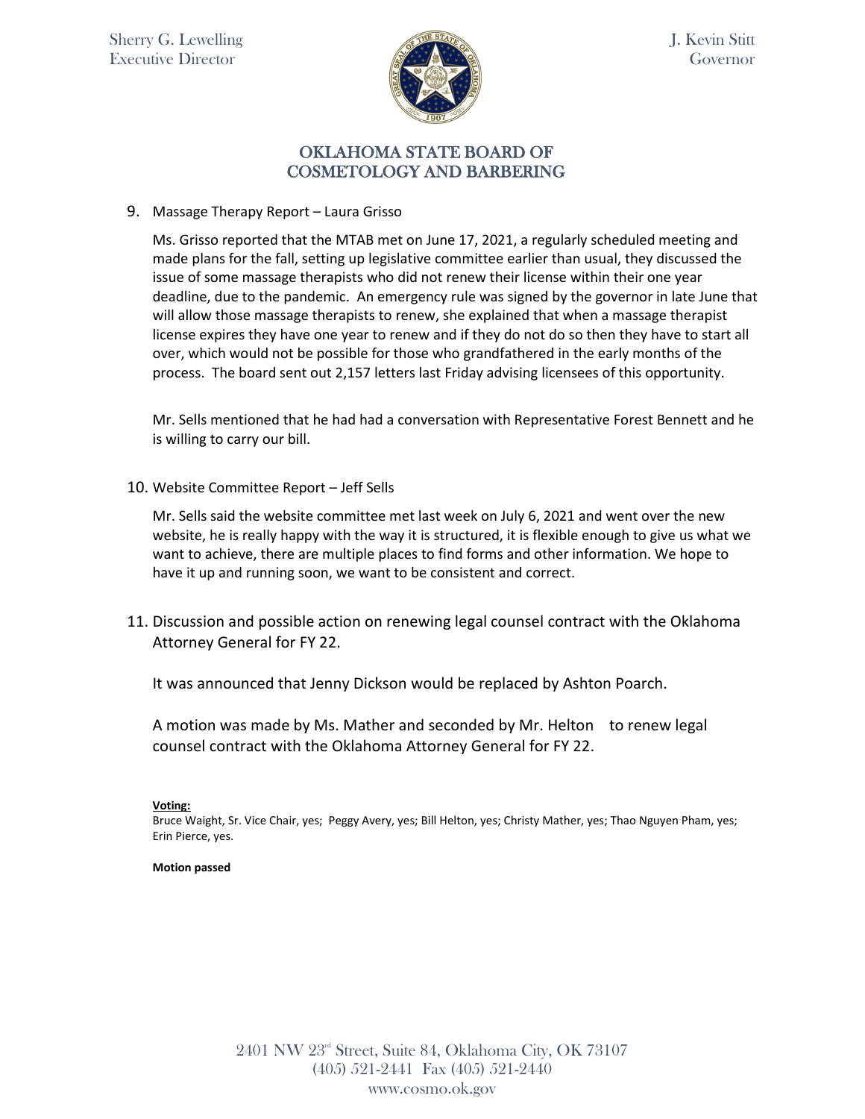

9. Massage Therapy Report – Laura Grisso

Ms. Grisso reported that the MTAB met on June 17, 2021, a regularly scheduled meeting and made plans for the fall, setting up legislative committee earlier than usual, they discussed the issue of some massage therapists who did not renew their license within their one year deadline, due to the pandemic. An emergency rule was signed by the governor in late June that will allow those massage therapists to renew, she explained that when a massage therapist license expires they have one year to renew and if they do not do so then they have to start all over, which would not be possible for those who grandfathered in the early months of the process. The board sent out 2,157 letters last Friday advising licensees of this opportunity.

Mr. Sells mentioned that he had had a conversation with Representative Forest Bennett and he is willing to carry our bill.

10. Website Committee Report – Jeff Sells

Mr. Sells said the website committee met last week on July 6, 2021 and went over the new website, he is really happy with the way it is structured, it is flexible enough to give us what we want to achieve, there are multiple places to find forms and other information. We hope to have it up and running soon, we want to be consistent and correct.

11. Discussion and possible action on renewing legal counsel contract with the Oklahoma Attorney General for FY 22.

It was announced that Jenny Dickson would be replaced by Ashton Poarch.

A motion was made by Ms. Mather and seconded by Mr. Helton to renew legal counsel contract with the Oklahoma Attorney General for FY 22.

### **Voting:**

Bruce Waight, Sr. Vice Chair, yes; Peggy Avery, yes; Bill Helton, yes; Christy Mather, yes; Thao Nguyen Pham, yes; Erin Pierce, yes.

### **Motion passed**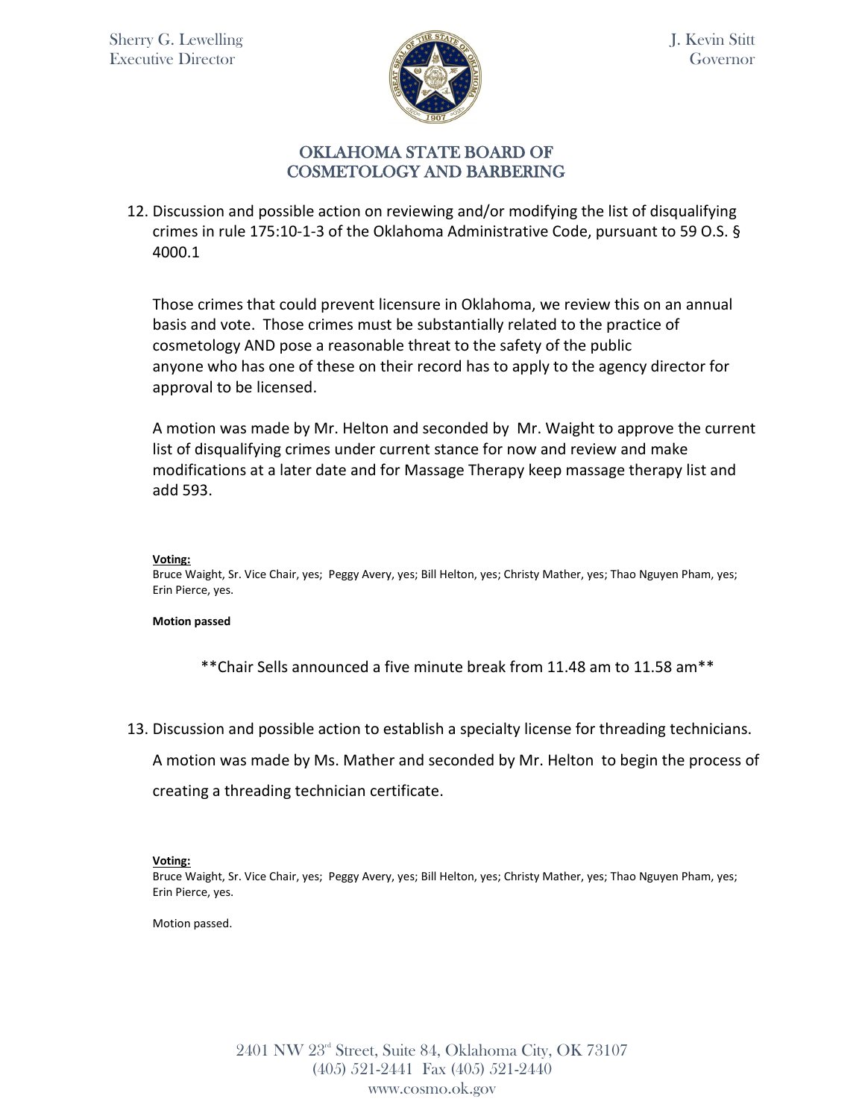

12. Discussion and possible action on reviewing and/or modifying the list of disqualifying crimes in rule 175:10-1-3 of the Oklahoma Administrative Code, pursuant to 59 O.S. § 4000.1

Those crimes that could prevent licensure in Oklahoma, we review this on an annual basis and vote. Those crimes must be substantially related to the practice of cosmetology AND pose a reasonable threat to the safety of the public anyone who has one of these on their record has to apply to the agency director for approval to be licensed.

A motion was made by Mr. Helton and seconded by Mr. Waight to approve the current list of disqualifying crimes under current stance for now and review and make modifications at a later date and for Massage Therapy keep massage therapy list and add 593.

#### **Voting:**

Bruce Waight, Sr. Vice Chair, yes; Peggy Avery, yes; Bill Helton, yes; Christy Mather, yes; Thao Nguyen Pham, yes; Erin Pierce, yes.

### **Motion passed**

\*\*Chair Sells announced a five minute break from 11.48 am to 11.58 am\*\*

13. Discussion and possible action to establish a specialty license for threading technicians.

A motion was made by Ms. Mather and seconded by Mr. Helton to begin the process of

creating a threading technician certificate.

### **Voting:**

Bruce Waight, Sr. Vice Chair, yes; Peggy Avery, yes; Bill Helton, yes; Christy Mather, yes; Thao Nguyen Pham, yes; Erin Pierce, yes.

Motion passed.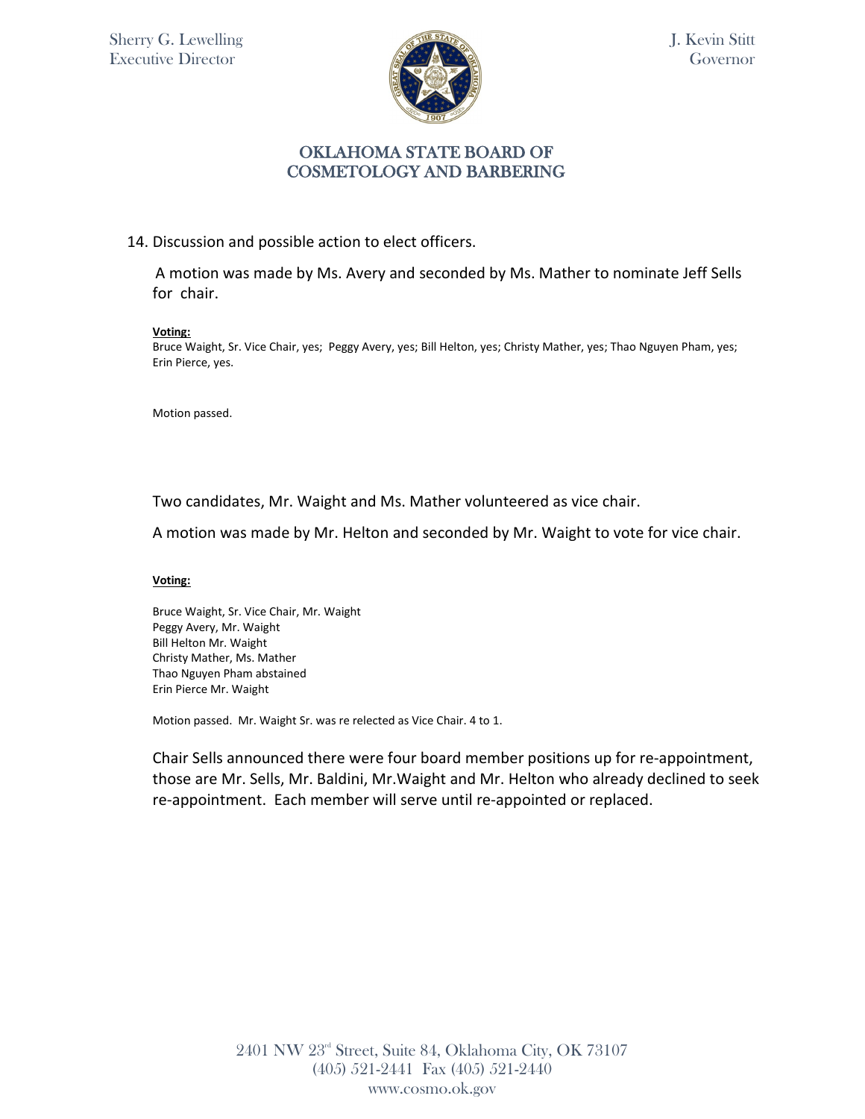

### 14. Discussion and possible action to elect officers.

A motion was made by Ms. Avery and seconded by Ms. Mather to nominate Jeff Sells for chair.

### **Voting:**

Bruce Waight, Sr. Vice Chair, yes; Peggy Avery, yes; Bill Helton, yes; Christy Mather, yes; Thao Nguyen Pham, yes; Erin Pierce, yes.

Motion passed.

Two candidates, Mr. Waight and Ms. Mather volunteered as vice chair.

A motion was made by Mr. Helton and seconded by Mr. Waight to vote for vice chair.

### **Voting:**

Bruce Waight, Sr. Vice Chair, Mr. Waight Peggy Avery, Mr. Waight Bill Helton Mr. Waight Christy Mather, Ms. Mather Thao Nguyen Pham abstained Erin Pierce Mr. Waight

Motion passed. Mr. Waight Sr. was re relected as Vice Chair. 4 to 1.

Chair Sells announced there were four board member positions up for re-appointment, those are Mr. Sells, Mr. Baldini, Mr.Waight and Mr. Helton who already declined to seek re-appointment. Each member will serve until re-appointed or replaced.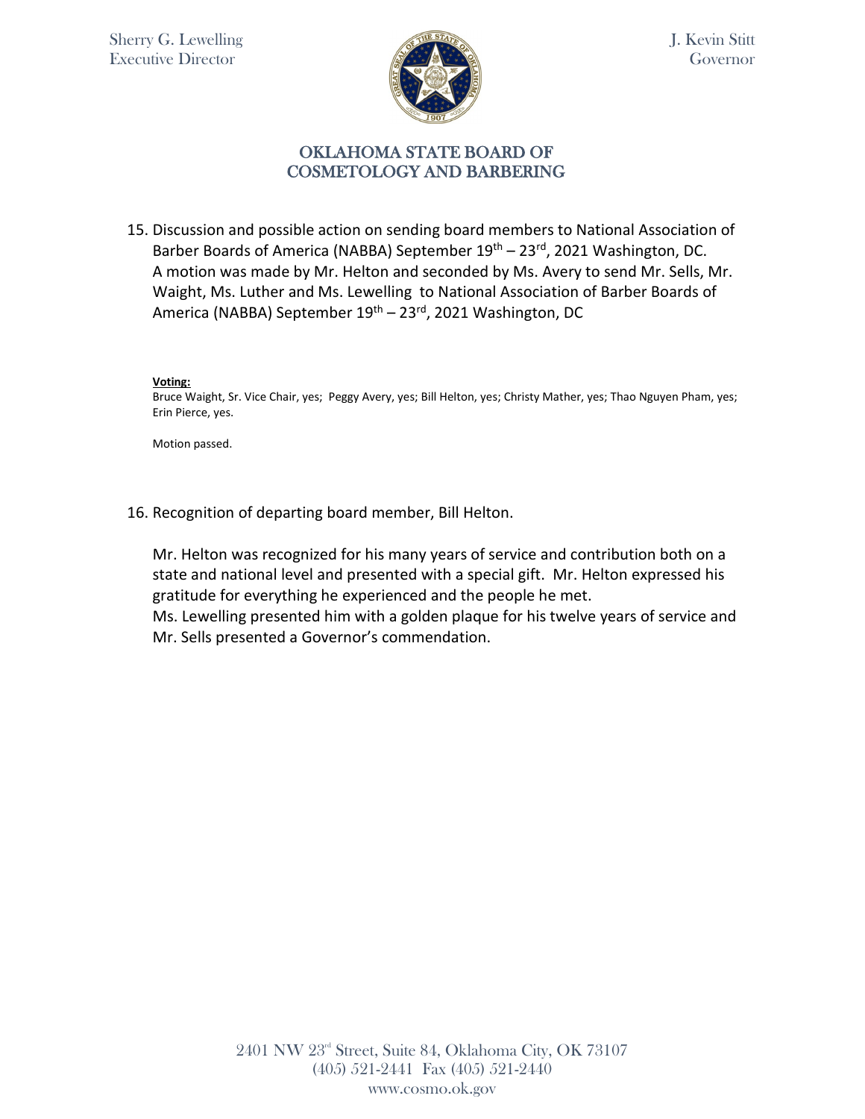

15. Discussion and possible action on sending board members to National Association of Barber Boards of America (NABBA) September 19<sup>th</sup> – 23<sup>rd</sup>, 2021 Washington, DC. A motion was made by Mr. Helton and seconded by Ms. Avery to send Mr. Sells, Mr. Waight, Ms. Luther and Ms. Lewelling to National Association of Barber Boards of America (NABBA) September 19<sup>th</sup> – 23<sup>rd</sup>, 2021 Washington, DC

### **Voting:**

Bruce Waight, Sr. Vice Chair, yes; Peggy Avery, yes; Bill Helton, yes; Christy Mather, yes; Thao Nguyen Pham, yes; Erin Pierce, yes.

Motion passed.

16. Recognition of departing board member, Bill Helton.

Mr. Helton was recognized for his many years of service and contribution both on a state and national level and presented with a special gift. Mr. Helton expressed his gratitude for everything he experienced and the people he met.

Ms. Lewelling presented him with a golden plaque for his twelve years of service and Mr. Sells presented a Governor's commendation.